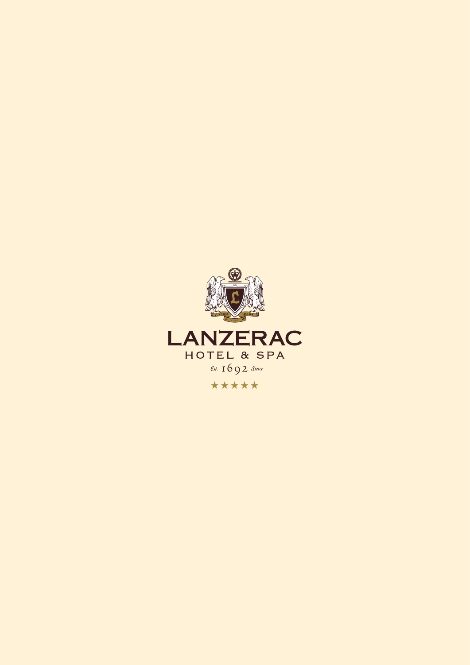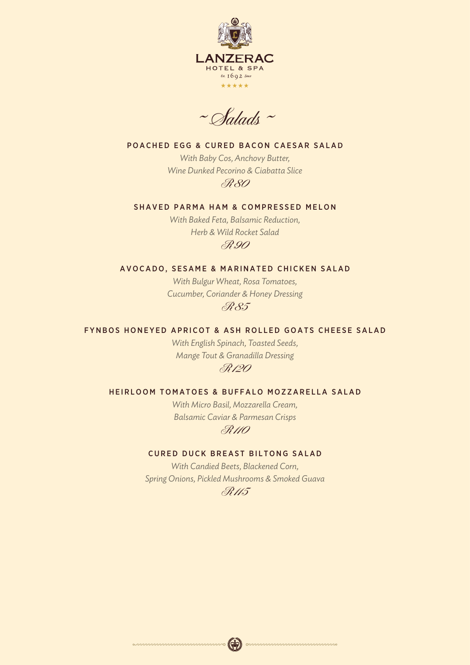

 $~\sim$ Salads ~

# POACHED EGG & CURED BACON CAESAR SALAD

*With Baby Cos, Anchovy Butter, Wine Dunked Pecorino & Ciabatta Slice* R 80

# SHAVED PARMA HAM & COMPRESSED MELON

*With Baked Feta, Balsamic Reduction, Herb & Wild Rocket Salad* R 90

## AVOCADO, SESAME & MARINATED CHICKEN SALAD

*With Bulgur Wheat, Rosa Tomatoes, Cucumber, Coriander & Honey Dressing* R 85

# FYNBOS HONEYED APRICOT & ASH ROLLED GOATS CHEESE SALAD

*With English Spinach, Toasted Seeds, Mange Tout & Granadilla Dressing* R 120

#### HEIRLOOM TOMATOES & BUFFALO MOZZARELLA SALAD

*With Micro Basil, Mozzarella Cream, Balsamic Caviar & Parmesan Crisps* R 110

## CURED DUCK BREAST BILTONG SALAD

*With Candied Beets, Blackened Corn, Spring Onions, Pickled Mushrooms & Smoked Guava* R 115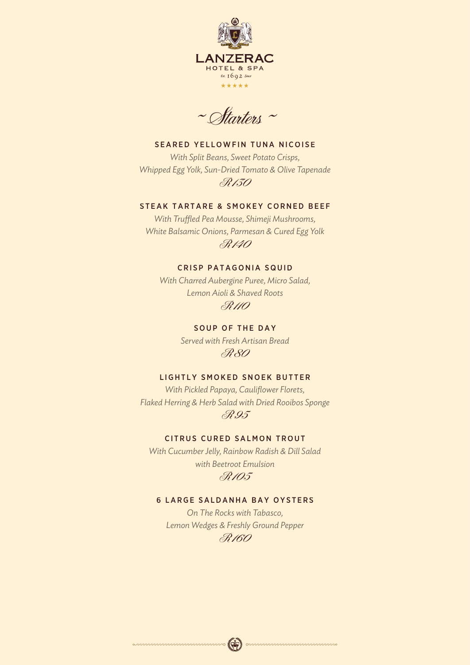

 $~\sim$ Starters ~

# SEARED YELLOWFIN TUNA NICOISE

*With Split Beans, Sweet Potato Crisps, Whipped Egg Yolk, Sun-Dried Tomato & Olive Tapenade* R 130

# STEAK TARTARE & SMOKEY CORNED BEEF

*With Truffled Pea Mousse, Shimeji Mushrooms, White Balsamic Onions, Parmesan & Cured Egg Yolk* R 140

# CRISP PATAGONIA SQUID

*With Charred Aubergine Puree, Micro Salad, Lemon Aioli & Shaved Roots* R 110

> SOUP OF THE DAY *Served with Fresh Artisan Bread* R 80

# LIGHTLY SMOKED SNOEK BUTTER

*With Pickled Papaya, Cauliflower Florets, Flaked Herring & Herb Salad with Dried Rooibos Sponge* R 95

# CITRUS CURED SALMON TROUT

*With Cucumber Jelly, Rainbow Radish & Dill Salad with Beetroot Emulsion* R 105

# 6 LARGE SALDANHA BAY OYSTERS

*On The Rocks with Tabasco, Lemon Wedges & Freshly Ground Pepper* R 160

 $\mathbf{Q}$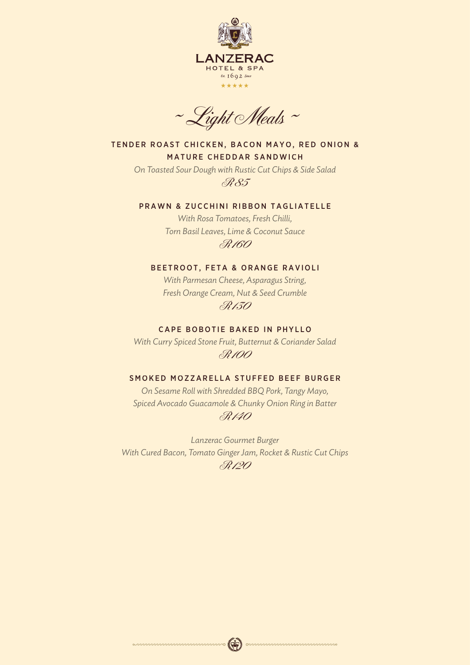

 $~\sim$  Light Meals  $~\sim$ 

TENDER ROAST CHICKEN, BACON MAYO, RED ONION & **MATURE CHEDDAR SANDWICH** 

*On Toasted Sour Dough with Rustic Cut Chips & Side Salad* R 85

### PRAWN & ZUCCHINI RIBBON TAGLIATELLE

*With Rosa Tomatoes, Fresh Chilli, Torn Basil Leaves, Lime & Coconut Sauce* R 160

# BEETROOT, FETA & ORANGE RAVIOLI

*With Parmesan Cheese, Asparagus String, Fresh Orange Cream, Nut & Seed Crumble* R 130

## CAPE BOBOTIE BAKED IN PHYLLO

*With Curry Spiced Stone Fruit, Butternut & Coriander Salad* R 100

#### SMOKED MOZZARELLA STUFFED BEEF BURGER

*On Sesame Roll with Shredded BBQ Pork, Tangy Mayo, Spiced Avocado Guacamole & Chunky Onion Ring in Batter* R 140

*Lanzerac Gourmet Burger With Cured Bacon, Tomato Ginger Jam, Rocket & Rustic Cut Chips* R 120

 $\mathbb{Q}$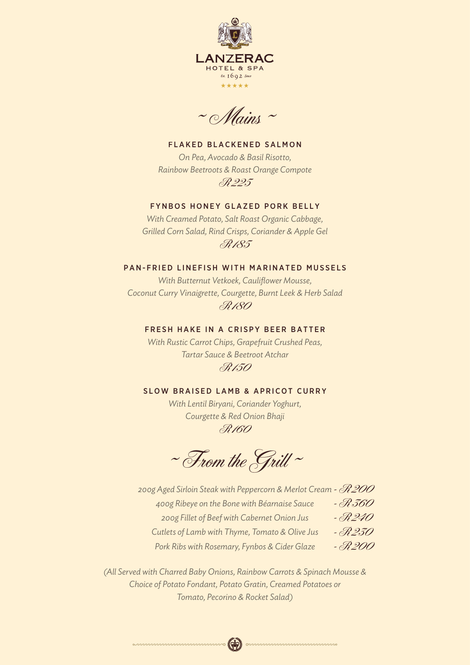

 $~\sim$  Mains  $~\sim$ 

FLAKED BLACKENED SALMON *On Pea, Avocado & Basil Risotto, Rainbow Beetroots & Roast Orange Compote* R 225

# FYNBOS HONEY GLAZED PORK BELLY

*With Creamed Potato, Salt Roast Organic Cabbage, Grilled Corn Salad, Rind Crisps, Coriander & Apple Gel* R 185

# PAN-FRIED LINEFISH WITH MARINATED MUSSELS

*With Butternut Vetkoek, Cauliflower Mousse, Coconut Curry Vinaigrette, Courgette, Burnt Leek & Herb Salad* R 180

# FRESH HAKE IN A CRISPY BEER BATTER

*With Rustic Carrot Chips, Grapefruit Crushed Peas, Tartar Sauce & Beetroot Atchar* R 150

### SLOW BRAISED LAMB & APRICOT CURRY

*With Lentil Biryani, Coriander Yoghurt, Courgette & Red Onion Bhaji* R 160

 $~\sim$  From the Grill  $~\sim$ 

*200g Aged Sirloin Steak with Peppercorn & Merlot Cream <sup>m</sup>* - R 200 *400g Ribeye on the Bone with Béarnaise Sauce 200g Fillet of Beef with Cabernet Onion Jus Cutlets of Lamb with Thyme, Tomato & Olive Jus Pork Ribs with Rosemary, Fynbos & Cider Glaze* - R 360 - R 240 - R 230 - R 200

*(All Served with Charred Baby Onions, Rainbow Carrots & Spinach Mousse & Choice of Potato Fondant, Potato Gratin, Creamed Potatoes or Tomato, Pecorino & Rocket Salad)*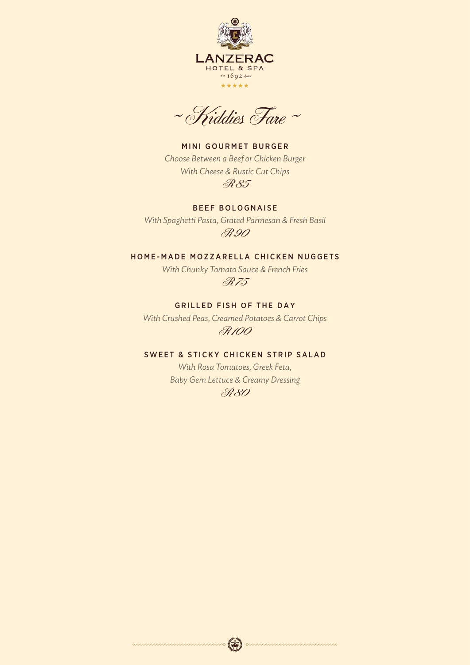

 $~\sim$  Kiddies Fare  $~\sim$ 

MINI GOURMET BURGER *Choose Between a Beef or Chicken Burger With Cheese & Rustic Cut Chips* R 85

BEEF BOLOGNAISE *With Spaghetti Pasta, Grated Parmesan & Fresh Basil* R 90

# HOME-MADE MOZZARELLA CHICKEN NUGGETS

*With Chunky Tomato Sauce & French Fries* R 75

**GRILLED FISH OF THE DAY** 

*With Crushed Peas, Creamed Potatoes & Carrot Chips* R 100

# SWEET & STICKY CHICKEN STRIP SALAD

*With Rosa Tomatoes, Greek Feta, Baby Gem Lettuce & Creamy Dressing* R 80

> $\left( \Phi \right)$  $\infty$